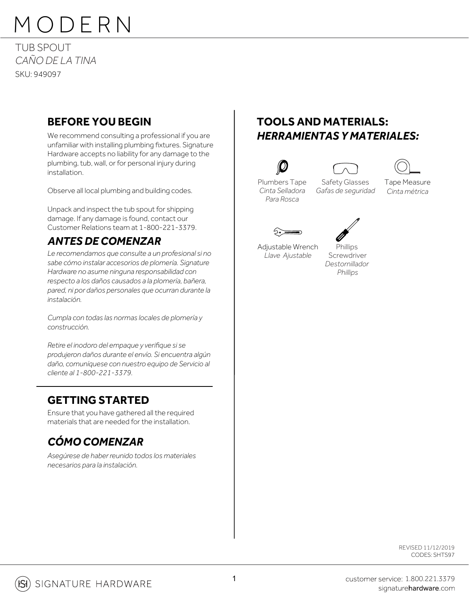# MODERN

TUB SPOUT *CAÑO DE LA TINA* SKU: 949097

#### **BEFORE YOU BEGIN**

We recommend consulting a professional if you are unfamiliar with installing plumbing fixtures. Signature Hardware accepts no liability for any damage to the plumbing, tub, wall, or for personal injury during installation.

Observe all local plumbing and building codes.

Unpack and inspect the tub spout for shipping damage. If any damage is found, contact our Customer Relations team at 1-800-221-3379.

## *ANTES DE COMENZAR*

*Le recomendamos que consulte a un profesional si no sabe cómo instalar accesorios de plomería. Signature Hardware no asume ninguna responsabilidad con respecto a los daños causados a la plomería, bañera, pared, ni por daños personales que ocurran durante la instalación.*

*Cumpla con todas las normas locales de plomería y construcción.*

*Retire el inodoro del empaque y verifique si se produjeron daños durante el envío. Si encuentra algún daño, comuníquese con nuestro equipo de Servicio al cliente al 1-800-221-3379.*

## **GETTING STARTED**

Ensure that you have gathered all the required materials that are needed for the installation.

## *CÓMO COMENZAR*

*Asegúrese de haber reunido todos los materiales necesarios para la instalación.*

## **TOOLS AND MATERIALS:** *HERRAMIENTAS Y MATERIALES:*







Plumbers Tape *Cinta Selladora Para Rosca*

Safety Glasses *Gafas de seguridad*





Adjustable Wrench *Llave Ajustable*

**Phillips** Screwdriver *Destornillador Phillips*